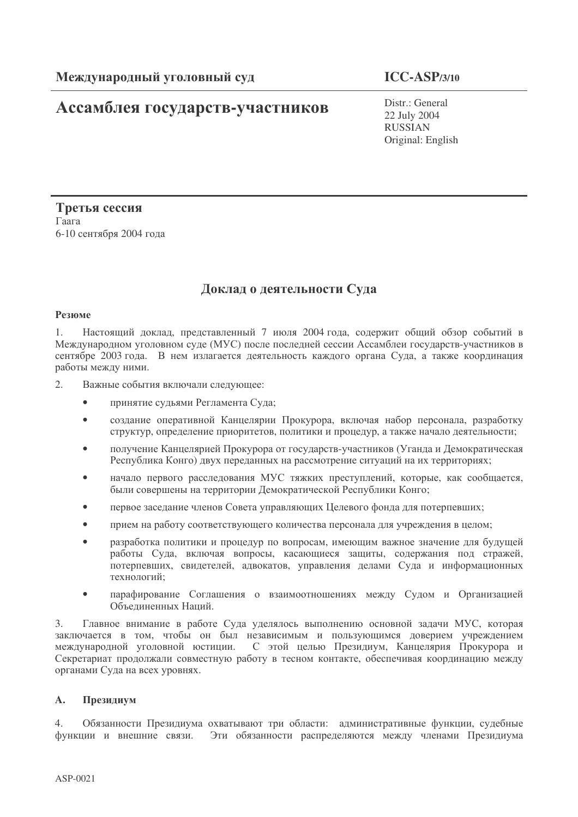# Ассамблея государств-участников

# $ICC-ASP/3/10$

Distr.: General 22 July 2004 **RUSSIAN** Original: English

Третья сессия Гаага 6-10 сентября 2004 года

# Доклад о деятельности Суда

# Резюме

 $1.$ Настоящий доклад, представленный 7 июля 2004 года, содержит общий обзор событий в Международном уголовном суде (МУС) после последней сессии Ассамблеи государств-участников в сентябре 2003 года. В нем излагается деятельность каждого органа Суда, а также координация работы между ними.

- $2^{\circ}$ Важные события включали следующее:
	- $\bullet$ принятие судьями Регламента Суда;
	- создание оперативной Канцелярии Прокурора, включая набор персонала, разработку структур, определение приоритетов, политики и процедур, а также начало деятельности;
	- получение Канцелярией Прокурора от государств-участников (Уганда и Демократическая Республика Конго) двух переданных на рассмотрение ситуаций на их территориях;
	- начало первого расследования МУС тяжких преступлений, которые, как сообщается,  $\blacksquare$ были совершены на территории Демократической Республики Конго;
	- первое заседание членов Совета управляющих Целевого фонда для потерпевших;
	- прием на работу соответствующего количества персонала для учреждения в целом;  $\bullet$
	- разработка политики и процедур по вопросам, имеющим важное значение для будущей работы Суда, включая вопросы, касающиеся защиты, содержания под стражей, потерпевших, свидетелей, адвокатов, управления делами Суда и информационных технологий;
	- парафирование Соглашения о взаимоотношениях между Судом и Организацией  $\bullet$ Объелиненных Напий.

 $\mathcal{E}$ Главное внимание в работе Суда уделялось выполнению основной задачи МУС, которая заключается в том, чтобы он был независимым и пользующимся доверием учреждением международной уголовной юстиции. С этой целью Президиум, Канцелярия Прокурора и Секретариат продолжали совместную работу в тесном контакте, обеспечивая координацию между органами Суда на всех уровнях.

#### $\mathbf{A}$ . Президиум

Обязанности Президиума охватывают три области: административные функции, судебные  $\overline{4}$ функции и внешние связи. Эти обязанности распределяются между членами Президиума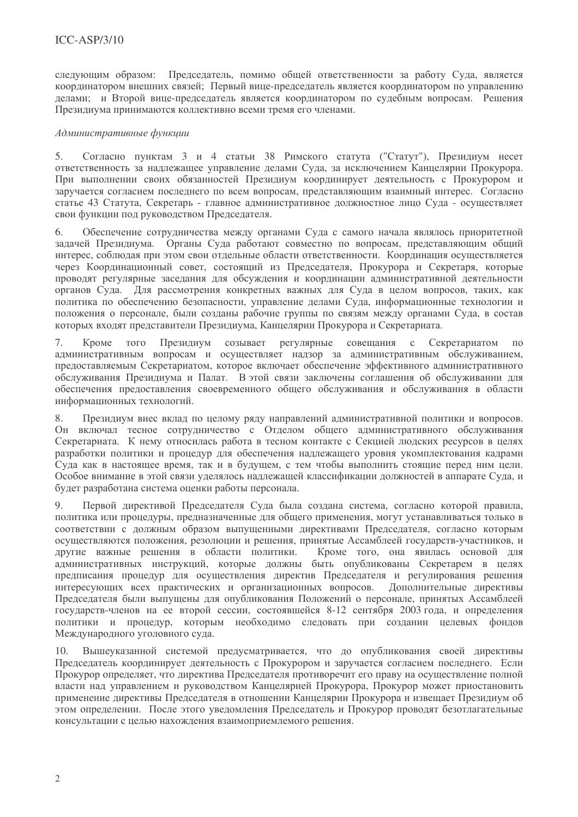следующим образом: Председатель, помимо общей ответственности за работу Суда, является координатором внешних связей; Первый вице-председатель является координатором по управлению лелами: и Второй вице-председатель является координатором по судебным вопросам. Решения Президиума принимаются коллективно всеми тремя его членами.

# Административные функции

Согласно пунктам 3 и 4 статьи 38 Римского статута ("Статут"), Президиум несет  $5<sub>1</sub>$ ответственность за надлежащее управление делами Суда, за исключением Канцелярии Прокурора. При выполнении своих обязанностей Президиум координирует деятельность с Прокурором и заручается согласием последнего по всем вопросам, представляющим взаимный интерес. Согласно статье 43 Статута, Секретарь - главное административное должностное лицо Суда - осуществляет свои функции под руководством Председателя.

Обеспечение сотрудничества между органами Суда с самого начала являлось приоритетной задачей Президиума. Органы Суда работают совместно по вопросам, представляющим общий интерес, соблюдая при этом свои отдельные области ответственности. Координация осуществляется через Координационный совет, состоящий из Председателя, Прокурора и Секретаря, которые проводят регулярные заседания для обсуждения и координации административной деятельности органов Суда. Для рассмотрения конкретных важных для Суда в целом вопросов, таких, как политика по обеспечению безопасности, управление делами Суда, информационные технологии и положения о персонале, были созданы рабочие группы по связям между органами Суда, в состав которых входят представители Президиума, Канцелярии Прокурора и Секретариата.

совещания с Секретариатом 7. Президиум созывает регулярные Кроме ТОГО  $\Pi$ <sup>O</sup> административным вопросам и осуществляет надзор за административным обслуживанием, предоставляемым Секретариатом, которое включает обеспечение эффективного административного обслуживания Президиума и Палат. В этой связи заключены соглашения об обслуживании для обеспечения предоставления своевременного общего обслуживания и обслуживания в области информационных технологий.

8. Президиум внес вклад по целому ряду направлений административной политики и вопросов. Он включал тесное сотрудничество с Отделом общего административного обслуживания Секретариата. К нему относилась работа в тесном контакте с Секцией людских ресурсов в целях разработки политики и процедур для обеспечения надлежащего уровня укомплектования кадрами Суда как в настоящее время, так и в будущем, с тем чтобы выполнить стоящие перед ним цели. Особое внимание в этой связи уделялось надлежащей классификации должностей в аппарате Суда, и будет разработана система оценки работы персонала.

9. Первой директивой Председателя Суда была создана система, согласно которой правила, политика или процедуры, предназначенные для общего применения, могут устанавливаться только в соответствии с должным образом выпущенными директивами Председателя, согласно которым осуществляются положения, резолюции и решения, принятые Ассамблеей государств-участников, и другие важные решения в области политики. Кроме того, она явилась основой для административных инструкций, которые должны быть опубликованы Секретарем в целях предписания процедур для осуществления директив Председателя и регулирования решения интересующих всех практических и организационных вопросов. Дополнительные директивы Председателя были выпущены для опубликования Положений о персонале, принятых Ассамблеей государств-членов на ее второй сессии, состоявшейся 8-12 сентября 2003 года, и определения политики и процедур, которым необходимо следовать при создании целевых фондов Международного уголовного суда.

10. Вышеуказанной системой предусматривается, что до опубликования своей директивы Председатель координирует деятельность с Прокурором и заручается согласием последнего. Если Прокурор определяет, что директива Председателя противоречит его праву на осуществление полной власти над управлением и руководством Канцелярией Прокурора, Прокурор может приостановить применение директивы Председателя в отношении Канцелярии Прокурора и извещает Президиум об этом определении. После этого уведомления Председатель и Прокурор проводят безотлагательные консультации с целью нахождения взаимоприемлемого решения.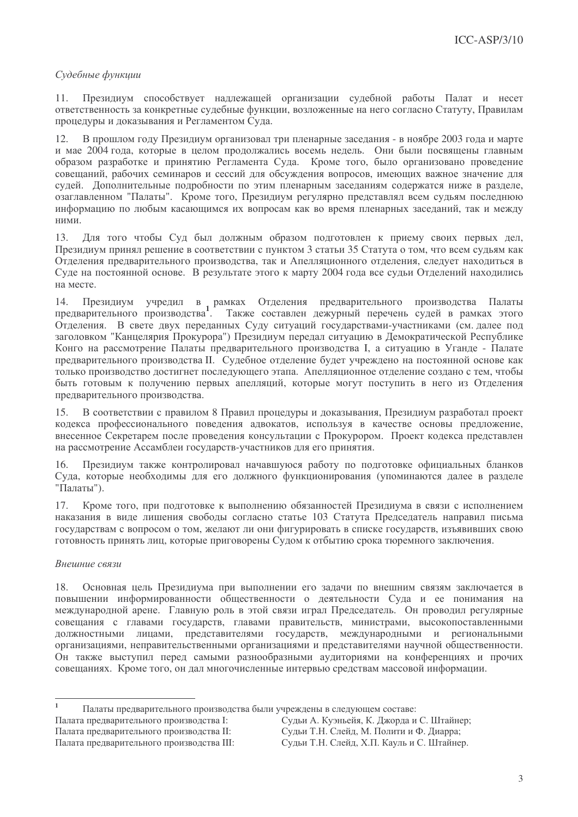# Судебные функции

 $11.$ Презилиум способствует наллежащей организации судебной работы Палат и несет ответственность за конкретные судебные функции, возложенные на него согласно Статуту, Правилам процедуры и доказывания и Регламентом Суда.

В прошлом году Президиум организовал три пленарные заседания - в ноябре 2003 года и марте  $12.$ и мае 2004 года, которые в целом пролоджались восемь недель. Они были посвящены главным образом разработке и принятию Регламента Суда. Кроме того, было организовано проведение совещаний, рабочих семинаров и сессий для обсуждения вопросов, имеющих важное значение для судей. Дополнительные подробности по этим пленарным заседаниям содержатся ниже в разделе, озаглавленном "Палаты". Кроме того, Президиум регулярно представлял всем судьям последнюю информацию по любым касающимся их вопросам как во время пленарных заселаний, так и между ними.

13. Для того чтобы Суд был должным образом подготовлен к приему своих первых дел, Президиум принял решение в соответствии с пунктом 3 статьи 35 Статута о том, что всем судьям как Отделения предварительного производства, так и Апелляционного отделения, следует находиться в Суде на постоянной основе. В результате этого к марту 2004 года все судьи Отделений находились на месте.

14. Президиум учредил в рамках Отделения предварительного производства Палаты предварительного производства<sup>1</sup>. Также составлен дежурный перечень судей в рамках этого Отделения. В свете двух переданных Суду ситуаций государствами-участниками (см. далее под заголовком "Канцелярия Прокурора") Президиум передал ситуацию в Демократической Республике Конго на рассмотрение Палаты предварительного производства I, а ситуацию в Уганде - Палате предварительного производства II. Судебное отделение будет учреждено на постоянной основе как только производство достигнет последующего этапа. Апелляционное отделение создано с тем, чтобы быть готовым к получению первых апелляций, которые могут поступить в него из Отделения предварительного производства.

В соответствии с правилом 8 Правил процедуры и доказывания, Президиум разработал проект 15. кодекса профессионального поведения адвокатов, используя в качестве основы предложение, внесенное Секретарем после проведения консультации с Прокурором. Проект кодекса представлен на рассмотрение Ассамблеи государств-участников для его принятия.

16. Президиум также контролировал начавшуюся работу по подготовке официальных бланков Суда, которые необходимы для его должного функционирования (упоминаются далее в разделе "Палаты").

Кроме того, при подготовке к выполнению обязанностей Президиума в связи с исполнением 17. наказания в виде лишения свободы согласно статье 103 Статута Председатель направил письма государствам с вопросом о том, желают ли они фигурировать в списке государств, изъявивших свою готовность принять лиц, которые приговорены Судом к отбытию срока тюремного заключения.

# Внешние связи

18. Основная цель Президиума при выполнении его задачи по внешним связям заключается в повышении информированности общественности о деятельности Суда и ее понимания на международной арене. Главную роль в этой связи играл Председатель. Он проводил регулярные совещания с главами государств, главами правительств, министрами, высокопоставленными должностными лицами, представителями государств, международными и региональными организациями, неправительственными организациями и представителями научной общественности. Он также выступил перед самыми разнообразными аудиториями на конференциях и прочих совещаниях. Кроме того, он дал многочисленные интервью средствам массовой информации.

Палата предварительного производства I: Палата предварительного производства II: Палата предварительного производства III:

 $\bar{1}$ Палаты предварительного производства были учреждены в следующем составе:

Судьи А. Куэньейя, К. Джорда и С. Штайнер; Судьи Т.Н. Слейд, М. Полити и Ф. Диарра; Судьи Т.Н. Слейд, Х.П. Кауль и С. Штайнер.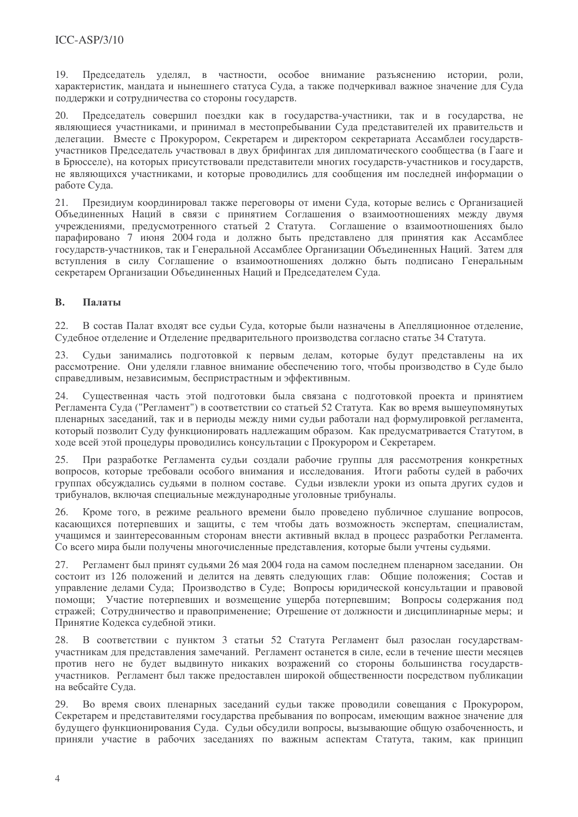19 Председатель уделял, в частности, особое внимание разъяснению истории, роли, характеристик, мандата и нынешнего статуса Суда, а также подчеркивал важное значение для Суда поддержки и сотрудничества со стороны государств.

Председатель совершил поездки как в государства-участники, так и в государства, не  $20.$ являющиеся участниками, и принимал в местопребывании Суда представителей их правительств и делегации. Вместе с Прокурором, Секретарем и директором секретариата Ассамблеи государствучастников Прелселатель участвовал в лвух брифингах лля липломатического сообщества (в Гааге и в Брюсселе), на которых присутствовали представители многих государств-участников и государств, не являющихся участниками, и которые проводились для сообщения им последней информации о работе Суда.

 $21.$ Президиум координировал также переговоры от имени Суда, которые велись с Организацией Объединенных Наций в связи с принятием Соглашения о взаимоотношениях между двумя учреждениями, предусмотренного статьей 2 Статута. Соглашение о взаимоотношениях было парафировано 7 июня 2004 года и должно быть представлено для принятия как Ассамблее государств-участников, так и Генеральной Ассамблее Организации Объединенных Наций. Затем для вступления в силу Соглашение о взаимоотношениях должно быть подписано Генеральным секретарем Организации Объединенных Наций и Председателем Суда.

#### **B.** Палаты

 $22$ В состав Палат входят все судьи Суда, которые были назначены в Апелляционное отделение, Судебное отделение и Отделение предварительного производства согласно статье 34 Статута.

Судьи занимались подготовкой к первым делам, которые будут представлены на их 23. рассмотрение. Они уделяли главное внимание обеспечению того, чтобы производство в Суде было справедливым, независимым, беспристрастным и эффективным.

24. Существенная часть этой подготовки была связана с подготовкой проекта и принятием Регламента Суда ("Регламент") в соответствии со статьей 52 Статута. Как во время вышеупомянутых пленарных заседаний, так и в периоды между ними судьи работали над формулировкой регламента, который позволит Суду функционировать надлежащим образом. Как предусматривается Статутом, в ходе всей этой процедуры проводились консультации с Прокурором и Секретарем.

При разработке Регламента судьи создали рабочие группы для рассмотрения конкретных вопросов, которые требовали особого внимания и исследования. Итоги работы судей в рабочих группах обсуждались судьями в полном составе. Судьи извлекли уроки из опыта других судов и трибуналов, включая специальные международные уголовные трибуналы.

26. Кроме того, в режиме реального времени было проведено публичное слушание вопросов, касающихся потерпевших и защиты, с тем чтобы дать возможность экспертам, специалистам, учащимся и заинтересованным сторонам внести активный вклад в процесс разработки Регламента. Со всего мира были получены многочисленные представления, которые были учтены судьями.

Регламент был принят судьями 26 мая 2004 года на самом последнем пленарном заседании. Он 27. состоит из 126 положений и делится на девять следующих глав: Общие положения; Состав и управление делами Суда; Производство в Суде; Вопросы юридической консультации и правовой помощи; Участие потерпевших и возмещение ущерба потерпевшим; Вопросы содержания под стражей; Сотрудничество и правоприменение; Отрешение от должности и дисциплинарные меры; и Принятие Кодекса судебной этики.

В соответствии с пунктом 3 статьи 52 Статута Регламент был разослан государствамучастникам для представления замечаний. Регламент останется в силе, если в течение шести месяцев против него не будет выдвинуто никаких возражений со стороны большинства государствучастников. Регламент был также предоставлен широкой общественности посредством публикации на вебсайте Суда.

29. Во время своих пленарных заседаний судьи также проводили совещания с Прокурором, Секретарем и представителями государства пребывания по вопросам, имеющим важное значение для будущего функционирования Суда. Судьи обсудили вопросы, вызывающие общую озабоченность, и приняли участие в рабочих заседаниях по важным аспектам Статута, таким, как принцип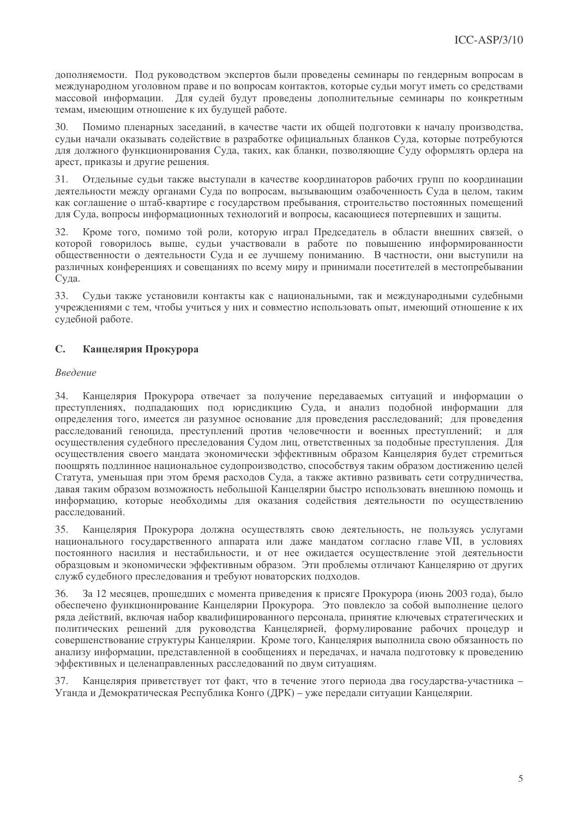дополняемости. Под руководством экспертов были проведены семинары по гендерным вопросам в международном уголовном праве и по вопросам контактов, которые судьи могут иметь со средствами массовой информации. Для сулей будут проведены дополнительные семинары по конкретным темам, имеющим отношение к их будущей работе.

 $30<sup>2</sup>$ Помимо пленарных заселаний, в качестве части их обшей полготовки к началу произволства. судьи начали оказывать содействие в разработке официальных бланков Суда, которые потребуются для должного функционирования Суда, таких, как бланки, позволяющие Суду оформлять ордера на арест, приказы и другие решения.

 $31.$ Отдельные сульи также выступали в качестве координаторов рабочих групп по координации леятельности межлу органами Суда по вопросам, вызывающим озабоченность Суда в целом, таким как соглашение о штаб-квартире с государством пребывания, строительство постоянных помещений для Суда, вопросы информационных технологий и вопросы, касающиеся потерпевших и защиты.

Кроме того, помимо той роли, которую играл Председатель в области внешних связей, о  $32<sup>°</sup>$ которой говорилось выше, судьи участвовали в работе по повышению информированности общественности о деятельности Суда и ее лучшему пониманию. В частности, они выступили на различных конференциях и совешаниях по всему миру и принимали посетителей в местопребывании Суда.

33. Сульи также установили контакты как с национальными, так и межлународными судебными учреждениями с тем, чтобы учиться у них и совместно использовать опыт, имеющий отношение к их судебной работе.

#### $\mathbb{C}$ Канцелярия Прокурора

# Введение

34. Канцелярия Прокурора отвечает за получение передаваемых ситуаций и информации о преступлениях, подпадающих под юрисдикцию Суда, и анализ подобной информации для определения того, имеется ли разумное основание для проведения расследований; для проведения расследований геноцида, преступлений против человечности и военных преступлений; и лля осуществления судебного преследования Судом лиц, ответственных за подобные преступления. Для осуществления своего мандата экономически эффективным образом Канцелярия будет стремиться поощрять подлинное национальное судопроизводство, способствуя таким образом достижению целей Статута, уменьшая при этом бремя расходов Суда, а также активно развивать сети сотрудничества, давая таким образом возможность небольшой Канцелярии быстро использовать внешнюю помощь и информацию, которые необходимы для оказания содействия деятельности по осуществлению расследований.

Канцелярия Прокурора должна осуществлять свою деятельность, не пользуясь услугами 35. национального государственного аппарата или даже мандатом согласно главе VII, в условиях постоянного насилия и нестабильности, и от нее ожидается осуществление этой деятельности образцовым и экономически эффективным образом. Эти проблемы отличают Канцелярию от других служб судебного преследования и требуют новаторских подходов.

 $36$ За 12 месяцев, прошедших с момента приведения к присяге Прокурора (июнь 2003 года), было обеспечено функционирование Канцелярии Прокурора. Это повлекло за собой выполнение целого ряда действий, включая набор квалифицированного персонала, принятие ключевых стратегических и политических решений для руководства Канцелярией, формулирование рабочих процедур и совершенствование структуры Канцелярии. Кроме того, Канцелярия выполнила свою обязанность по анализу информации, представленной в сообщениях и передачах, и начала подготовку к проведению эффективных и целенаправленных расследований по двум ситуациям.

37. Канцелярия приветствует тот факт, что в течение этого периода два государства-участника -Уганда и Демократическая Республика Конго (ДРК) – уже передали ситуации Канцелярии.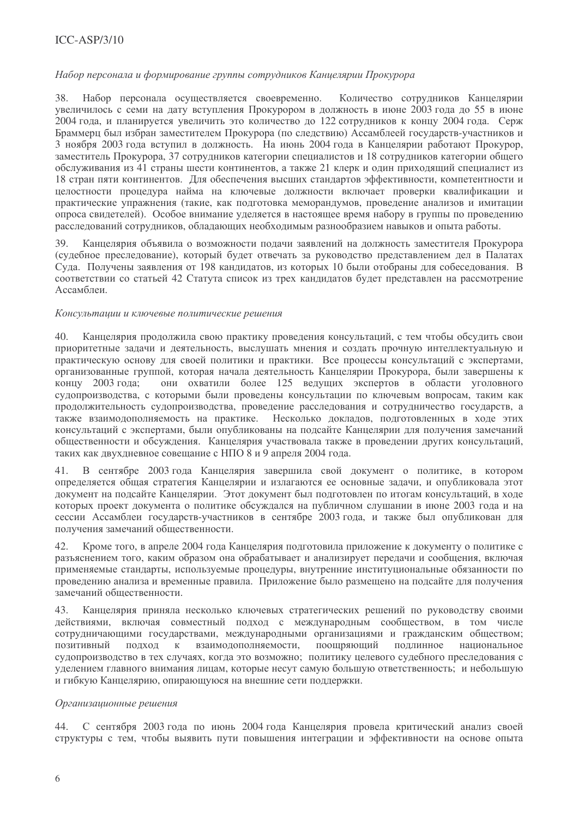# $ICC-ASP/3/10$

## Набор персонала и формирование группы сотрудников Канцелярии Прокурора

38. Набор персонала осуществляется своевременно. Количество сотрудников Канцелярии увеличилось с семи на дату вступления Прокурором в должность в июне 2003 года до 55 в июне 2004 года, и планируется увеличить это количество до 122 сотрудников к концу 2004 года. Серж Браммерц был избран заместителем Прокурора (по следствию) Ассамблеей государств-участников и 3 ноября 2003 года вступил в должность. На июнь 2004 года в Канцелярии работают Прокурор, заместитель Прокурора, 37 сотрудников категории специалистов и 18 сотрудников категории общего обслуживания из 41 страны шести континентов, а также 21 клерк и один приходящий специалист из 18 стран пяти континентов. Лля обеспечения высших станлартов эффективности, компетентности и нелостности процелура найма на ключевые лолжности включает проверки квалификации и практические упражнения (такие, как подготовка меморандумов, проведение анализов и имитации опроса свидетелей). Особое внимание уделяется в настоящее время набору в группы по проведению расследований сотрудников, обладающих необходимым разнообразием навыков и опыта работы.

 $30<sup>°</sup>$ Канцелярия объявила о возможности полачи заявлений на должность заместителя Прокурора (судебное преследование), который будет отвечать за руководство представлением дел в Палатах Сула. Получены заявления от 198 канлилатов, из которых 10 были отобраны для собеселования. В соответствии со статьей 42 Статута список из трех кандидатов будет представлен на рассмотрение Ассамблеи.

### Консультации и ключевые политические решения

Канцелярия продолжила свою практику проведения консультаций, с тем чтобы обсудить свои  $40.$ приоритетные задачи и деятельность, выслушать мнения и создать прочную интеллектуальную и практическую основу для своей политики и практики. Все процессы консультаций с экспертами, организованные группой, которая начала деятельность Канцелярии Прокурора, были завершены к концу 2003 года; они охватили более 125 ведущих экспертов в области уголовного судопроизводства, с которыми были проведены консультации по ключевым вопросам, таким как продолжительность судопроизводства, проведение расследования и сотрудничество государств, а также взаимодополняемость на практике. Несколько докладов, подготовленных в ходе этих консультаций с экспертами, были опубликованы на подсайте Канцелярии для получения замечаний общественности и обсуждения. Канцелярия участвовала также в проведении других консультаций, таких как двухдневное совещание с НПО 8 и 9 апреля 2004 года.

41. В сентябре 2003 года Канцелярия завершила свой документ о политике, в котором определяется общая стратегия Канцелярии и излагаются ее основные задачи, и опубликовала этот документ на подсайте Канцелярии. Этот документ был подготовлен по итогам консультаций, в ходе которых проект документа о политике обсуждался на публичном слушании в июне 2003 года и на сессии Ассамблеи государств-участников в сентябре 2003 года, и также был опубликован для получения замечаний общественности.

Кроме того, в апреле 2004 года Канцелярия подготовила приложение к документу о политике с 42. разъяснением того, каким образом она обрабатывает и анализирует передачи и сообщения, включая применяемые стандарты, используемые процедуры, внутренние институциональные обязанности по проведению анализа и временные правила. Приложение было размещено на подсайте для получения замечаний общественности.

Канцелярия приняла несколько ключевых стратегических решений по руководству своими 43. действиями, включая совместный подход с международным сообществом, в том числе сотрудничающими государствами, международными организациями и гражданским обществом; взаимодополняемости, поошряющий подлинное позитивный полхол  $\rm K$ национальное судопроизводство в тех случаях, когда это возможно; политику целевого судебного преследования с уделением главного внимания лицам, которые несут самую большую ответственность; и небольшую и гибкую Канцелярию, опирающуюся на внешние сети поддержки.

## Организационные решения

С сентября 2003 года по июнь 2004 года Канцелярия провела критический анализ своей 44. структуры с тем, чтобы выявить пути повышения интеграции и эффективности на основе опыта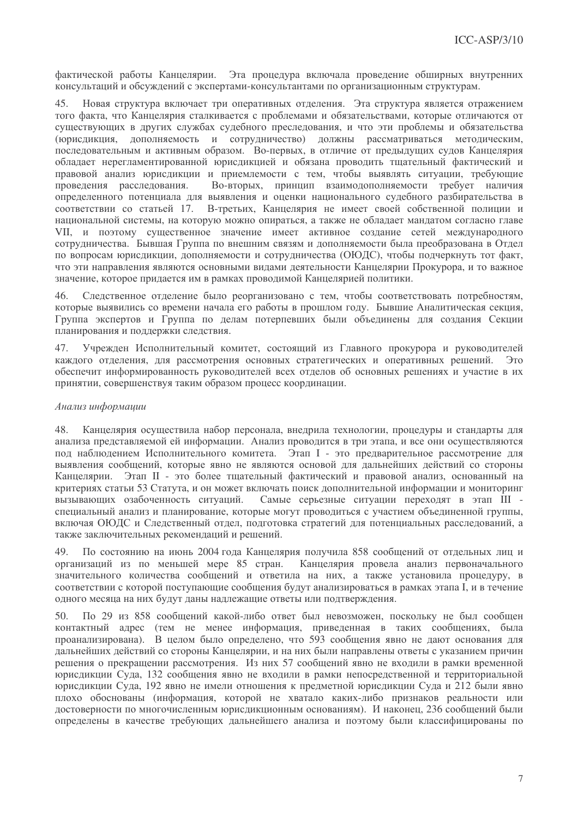фактической работы Канцелярии. Эта процедура включала проведение обширных внутренних консультаций и обсуждений с экспертами-консультантами по организационным структурам.

Новая структура включает три оперативных отделения. Эта структура является отражением  $45$ того факта, что Канцелярия сталкивается с проблемами и обязательствами, которые отличаются от существующих в других службах судебного преследования, и что эти проблемы и обязательства (юрисдикция, дополняемость и сотрудничество) должны рассматриваться методическим, последовательным и активным образом. Во-первых, в отличие от предыдущих судов Канцелярия обладает нерегламентированной юрисдикцией и обязана проводить тщательный фактический и правовой анализ юрисдикции и приемлемости с тем, чтобы выявлять ситуации, требующие проведения расследования. Во-вторых, принцип взаимодополняемости требует наличия определенного потенциала для выявления и оценки национального судебного разбирательства в соответствии со статьей 17. В-третьих. Канцелярия не имеет своей собственной полиции и национальной системы, на которую можно опираться, а также не обладает манлатом согласно главе VII. и поэтому сушественное значение имеет активное созлание сетей межлунаролного сотрудничества. Бывшая Группа по внешним связям и дополняемости была преобразована в Отдел по вопросам юрисдикции, дополняемости и сотрудничества (ОЮДС), чтобы подчеркнуть тот факт, что эти направления являются основными вилами леятельности Канцелярии Прокурора, и то важное значение, которое придается им в рамках проводимой Канцелярией политики.

Следственное отделение было реорганизовано с тем, чтобы соответствовать потребностям,  $46<sup>2</sup>$ которые выявились со времени начала его работы в прошлом голу. Бывшие Аналитическая секция, Группа экспертов и Группа по лелам потерпевших были объединены для создания Секции планирования и поддержки следствия.

Учрежден Исполнительный комитет, состоящий из Главного прокурора и руководителей 47. каждого отделения, для рассмотрения основных стратегических и оперативных решений. Это обеспечит информированность руководителей всех отделов об основных решениях и участие в их принятии, совершенствуя таким образом процесс координации.

### Анализ информации

Канцелярия осуществила набор персонала, внедрила технологии, процедуры и стандарты для 48. анализа представляемой ей информации. Анализ проводится в три этапа, и все они осуществляются под наблюдением Исполнительного комитета. Этап I - это предварительное рассмотрение для выявления сообщений, которые явно не являются основой для дальнейших действий со стороны Канцелярии. Этап II - это более тщательный фактический и правовой анализ, основанный на критериях статьи 53 Статута, и он может включать поиск дополнительной информации и мониторинг вызывающих озабоченность ситуаций. Самые серьезные ситуации переходят в этап III специальный анализ и планирование, которые могут проводиться с участием объединенной группы, включая ОЮДС и Следственный отдел, подготовка стратегий для потенциальных расследований, а также заключительных рекомендаций и решений.

49 По состоянию на июнь 2004 года Канцелярия получила 858 сообщений от отдельных лиц и организаций из по меньшей мере 85 стран. Канцелярия провела анализ первоначального значительного количества сообщений и ответила на них, а также установила процедуру, в соответствии с которой поступающие сообщения будут анализироваться в рамках этапа I, и в течение одного месяца на них будут даны надлежащие ответы или подтверждения.

По 29 из 858 сообщений какой-либо ответ был невозможен, поскольку не был сообщен 50. контактный адрес (тем не менее информация, приведенная в таких сообщениях, была проанализирована). В целом было определено, что 593 сообщения явно не дают основания для дальнейших действий со стороны Канцелярии, и на них были направлены ответы с указанием причин решения о прекращении рассмотрения. Из них 57 сообщений явно не входили в рамки временной юрисдикции Суда, 132 сообщения явно не входили в рамки непосредственной и территориальной юрисдикции Суда, 192 явно не имели отношения к предметной юрисдикции Суда и 212 были явно плохо обоснованы (информация, которой не хватало каких-либо признаков реальности или достоверности по многочисленным юрисдикционным основаниям). И наконец, 236 сообщений были определены в качестве требующих дальнейшего анализа и поэтому были классифицированы по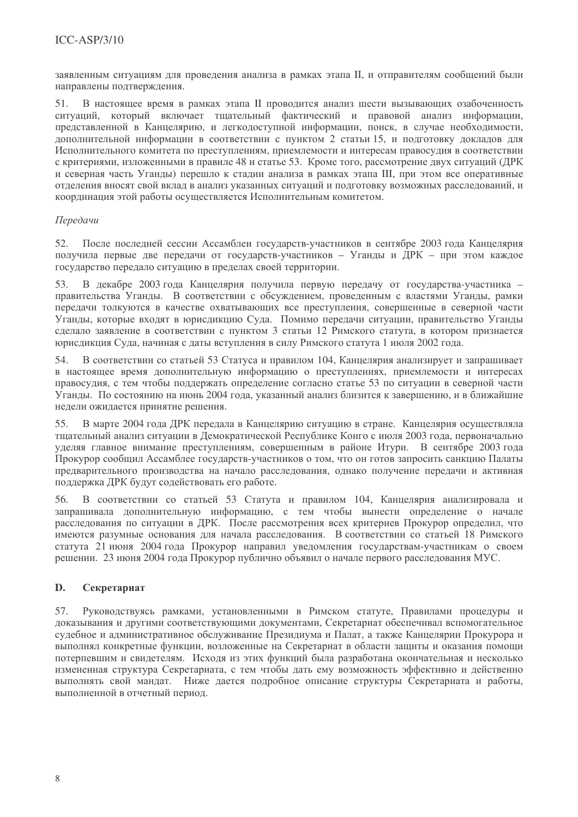заявленным ситуациям для проведения анализа в рамках этапа II, и отправителям сообщений были направлены подтверждения.

В настоящее время в рамках этапа II проводится анализ шести вызывающих озабоченность  $51.$ ситуаций, который включает тщательный фактический и правовой анализ информации, представленной в Канцелярию, и легкодоступной информации, поиск, в случае необходимости, дополнительной информации в соответствии с пунктом 2 статьи 15, и подготовку докладов для Исполнительного комитета по преступлениям, приемлемости и интересам правосудия в соответствии с критериями, изложенными в правиле 48 и статье 53. Кроме того, рассмотрение двух ситуаций (ДРК и северная часть Уганды) перешло к стадии анализа в рамках этапа III, при этом все оперативные отделения вносят свой вклад в анализ указанных ситуаций и подготовку возможных расследований, и координация этой работы осуществляется Исполнительным комитетом.

# Передачи

52. После последней сессии Ассамблеи государств-участников в сентябре 2003 года Канцелярия получила первые две передачи от государств-участников - Уганды и ДРК - при этом каждое государство передало ситуацию в пределах своей территории.

53. В декабре 2003 года Канцелярия получила первую передачу от государства-участника правительства Уганды. В соответствии с обсуждением, проведенным с властями Уганды, рамки передачи толкуются в качестве охватывающих все преступления, совершенные в северной части Уганды, которые входят в юрисдикцию Суда. Помимо передачи ситуации, правительство Уганды сделало заявление в соответствии с пунктом 3 статьи 12 Римского статута, в котором признается юрисдикция Суда, начиная с даты вступления в силу Римского статута 1 июля 2002 года.

В соответствии со статьей 53 Статуса и правилом 104, Канцелярия анализирует и запрашивает 54. в настоящее время дополнительную информацию о преступлениях, приемлемости и интересах правосудия, с тем чтобы поддержать определение согласно статье 53 по ситуации в северной части Уганды. По состоянию на июнь 2004 года, указанный анализ близится к завершению, и в ближайшие недели ожидается принятие решения.

В марте 2004 года ДРК передала в Канцелярию ситуацию в стране. Канцелярия осуществляла 55. тщательный анализ ситуации в Демократической Республике Конго с июля 2003 года, первоначально уделяя главное внимание преступлениям, совершенным в районе Итури. В сентябре 2003 года Прокурор сообщил Ассамблее государств-участников о том, что он готов запросить санкцию Палаты предварительного производства на начало расследования, однако получение передачи и активная поддержка ДРК будут содействовать его работе.

В соответствии со статьей 53 Статута и правилом 104, Канцелярия анализировала и 56. запрашивала дополнительную информацию, с тем чтобы вынести определение о начале расследования по ситуации в ДРК. После рассмотрения всех критериев Прокурор определил, что имеются разумные основания для начала расследования. В соответствии со статьей 18 Римского статута 21 июня 2004 года Прокурор направил уведомления государствам-участникам о своем решении. 23 июня 2004 года Прокурор публично объявил о начале первого расследования МУС.

#### D. Секретариат

57. Руководствуясь рамками, установленными в Римском статуте, Правилами процедуры и доказывания и другими соответствующими документами, Секретариат обеспечивал вспомогательное судебное и административное обслуживание Президиума и Палат, а также Канцелярии Прокурора и выполнял конкретные функции, возложенные на Секретариат в области защиты и оказания помощи потерпевшим и свидетелям. Исходя из этих функций была разработана окончательная и несколько измененная структура Секретариата, с тем чтобы дать ему возможность эффективно и действенно выполнять свой мандат. Ниже дается подробное описание структуры Секретариата и работы, выполненной в отчетный период.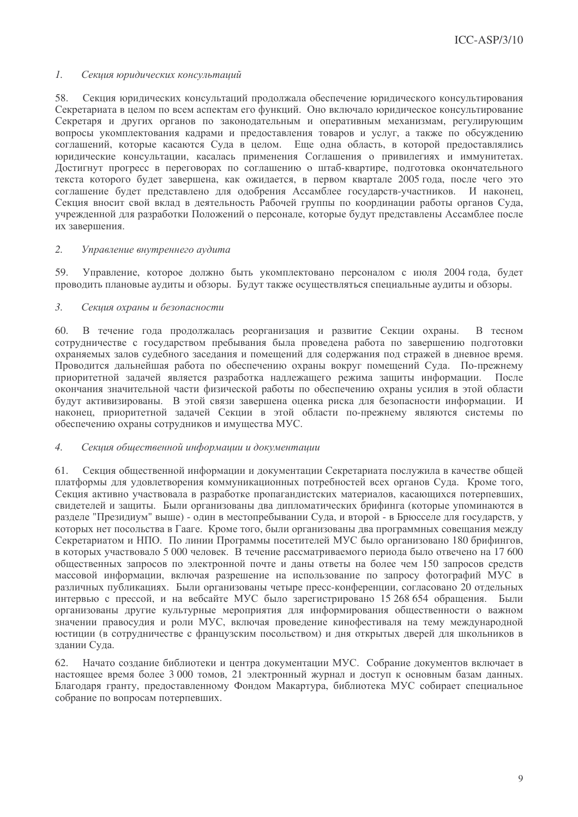#### $\mathcal{I}$ . Секция юридических консультаций

58. Секция юрилических консультаций прололжала обеспечение юрилического консультирования Секретариата в целом по всем аспектам его функций. Оно включало юридическое консультирование Секретаря и других органов по законодательным и оперативным механизмам, регулирующим вопросы укомплектования кадрами и предоставления товаров и услуг, а также по обсуждению соглашений, которые касаются Суда в целом. Еще одна область, в которой предоставлялись юридические консультации, касалась применения Соглашения о привилегиях и иммунитетах. Лостигнут прогресс в переговорах по соглашению о штаб-квартире, полготовка окончательного текста которого булет завершена, как ожилается, в первом квартале 2005 года, после чего это соглашение будет представлено для одобрения Ассамблее государств-участников. И наконен. Секция вносит свой вклад в деятельность Рабочей группы по координации работы органов Суда, учрежденной для разработки Положений о персонале, которые будут представлены Ассамблее после их завершения.

#### $\overline{2}$ . Управление внутреннего аудита

59. Управление, которое должно быть укомплектовано персоналом с июля 2004 года, будет проводить плановые аудиты и обзоры. Будут также осуществляться специальные аудиты и обзоры.

#### $\mathcal{E}$ Секиия охраны и безопасности

60. В течение года продолжалась реорганизация и развитие Секции охраны. В тесном сотрудничестве с государством пребывания была проведена работа по завершению подготовки охраняемых залов судебного заседания и помещений для содержания под стражей в дневное время. Проводится дальнейшая работа по обеспечению охраны вокруг помещений Суда. По-прежнему приоритетной задачей является разработка надлежащего режима защиты информации. После окончания значительной части физической работы по обеспечению охраны усилия в этой области будут активизированы. В этой связи завершена оценка риска для безопасности информации. И наконец, приоритетной задачей Секции в этой области по-прежнему являются системы по обеспечению охраны сотрудников и имущества МУС.

#### $\overline{4}$ . Секция общественной информации и документации

61. Секция общественной информации и документации Секретариата послужила в качестве общей платформы для удовлетворения коммуникационных потребностей всех органов Суда. Кроме того, Секция активно участвовала в разработке пропагандистских материалов, касающихся потерпевших, свидетелей и защиты. Были организованы два дипломатических брифинга (которые упоминаются в разделе "Президиум" выше) - один в местопребывании Суда, и второй - в Брюсселе для государств, у которых нет посольства в Гааге. Кроме того, были организованы два программных совещания между Секретариатом и НПО. По линии Программы посетителей МУС было организовано 180 брифингов, в которых участвовало 5 000 человек. В течение рассматриваемого периода было отвечено на 17 600 общественных запросов по электронной почте и даны ответы на более чем 150 запросов средств массовой информации, включая разрешение на использование по запросу фотографий МУС в различных публикациях. Были организованы четыре пресс-конференции, согласовано 20 отдельных интервью с прессой, и на вебсайте МУС было зарегистрировано 15 268 654 обращения. Были организованы другие культурные мероприятия для информирования общественности о важном значении правосудия и роли МУС, включая проведение кинофестиваля на тему международной юстиции (в сотрудничестве с французским посольством) и дня открытых дверей для школьников в здании Суда.

Начато создание библиотеки и центра документации МУС. Собрание документов включает в 62. настоящее время более 3 000 томов, 21 электронный журнал и доступ к основным базам данных. Благодаря гранту, предоставленному Фондом Макартура, библиотека МУС собирает специальное собрание по вопросам потерпевших.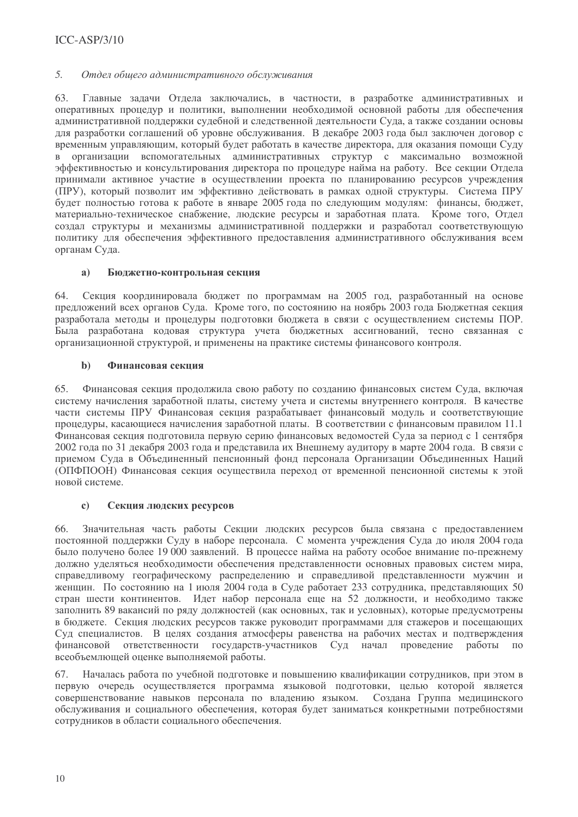#### $\overline{5}$ . Отдел общего административного обслуживания

Главные залачи Отлела заключались, в частности, в разработке алминистративных и 63. оперативных процедур и политики, выполнении необходимой основной работы для обеспечения административной поддержки судебной и следственной деятельности Суда, а также создании основы для разработки соглашений об уровне обслуживания. В декабре 2003 года был заключен договор с временным управляющим, который будет работать в качестве директора, для оказания помощи Суду  $\mathbf{R}$ организации вспомогательных административных структур с максимально возможной эффективностью и консультирования лиректора по процелуре найма на работу. Все секции Отлела принимали активное участие в осуществлении проекта по планированию ресурсов учреждения (ПРУ), который позволит им эффективно лействовать в рамках олной структуры. Система ПРУ будет полностью готова к работе в январе 2005 года по следующим модулям: финансы, бюджет, материально-техническое снабжение, людские ресурсы и заработная плата. Кроме того, Отдел создал структуры и механизмы алминистративной поддержки и разработал соответствующую политику для обеспечения эффективного предоставления административного обслуживания всем органам Суда.

#### $a)$ Бюджетно-контрольная секция

64 Секция координировала бюджет по программам на 2005 год, разработанный на основе предложений всех органов Суда. Кроме того, по состоянию на ноябрь 2003 года Бюджетная секция разработала методы и процедуры подготовки бюджета в связи с осуществлением системы ПОР. Была разработана кодовая структура учета бюджетных ассигнований, тесно связанная с организационной структурой, и применены на практике системы финансового контроля.

#### $\mathbf{b}$ Финансовая секция

65. Финансовая секция продолжила свою работу по созданию финансовых систем Суда, включая систему начисления заработной платы, систему учета и системы внутреннего контроля. В качестве части системы ПРУ Финансовая секция разрабатывает финансовый модуль и соответствующие процедуры, касающиеся начисления заработной платы. В соответствии с финансовым правилом 11.1 Финансовая секция подготовила первую серию финансовых ведомостей Суда за период с 1 сентября 2002 года по 31 декабря 2003 года и представила их Внешнему аудитору в марте 2004 года. В связи с приемом Суда в Объединенный пенсионный фонд персонала Организации Объединенных Наций (ОПФПООН) Финансовая секция осуществила переход от временной пенсионной системы к этой новой системе.

#### Секция людских ресурсов  $\mathbf{c}$

Значительная часть работы Секции людских ресурсов была связана с предоставлением 66 постоянной поддержки Суду в наборе персонала. С момента учреждения Суда до июля 2004 года было получено более 19 000 заявлений. В процессе найма на работу особое внимание по-прежнему должно уделяться необходимости обеспечения представленности основных правовых систем мира, справедливому географическому распределению и справедливой представленности мужчин и женщин. По состоянию на 1 июля 2004 года в Суде работает 233 сотрудника, представляющих 50 стран шести континентов. Идет набор персонала еще на 52 должности, и необходимо также заполнить 89 вакансий по ряду должностей (как основных, так и условных), которые предусмотрены в бюджете. Секция людских ресурсов также руководит программами для стажеров и посещающих Суд специалистов. В целях создания атмосферы равенства на рабочих местах и подтверждения финансовой ответственности государств-участников Суд начал проведение работы  $\overline{10}$ всеобъемлющей оценке выполняемой работы.

Началась работа по учебной подготовке и повышению квалификации сотрудников, при этом в 67. первую очередь осуществляется программа языковой подготовки, целью которой является совершенствование навыков персонала по владению языком. Создана Группа медицинского обслуживания и социального обеспечения, которая будет заниматься конкретными потребностями сотрудников в области социального обеспечения.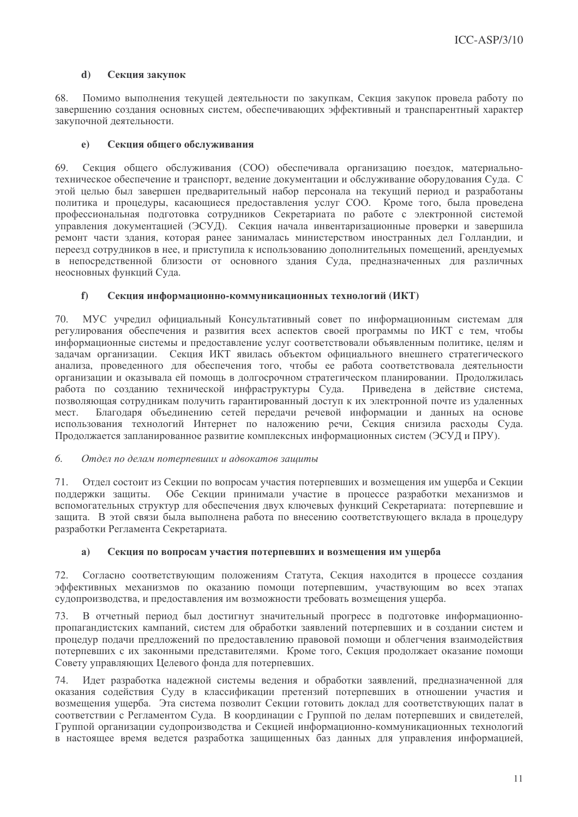#### $\overline{d}$ Секция закупок

68. Помимо выполнения текушей леятельности по закупкам. Секция закупок провела работу по завершению создания основных систем, обеспечивающих эффективный и транспарентный характер закупочной деятельности.

#### $\mathbf{e}$ Секция общего обслуживания

69 Секция общего обслуживания (СОО) обеспечивала организацию поезлок, материальнотехническое обеспечение и транспорт, веление локументации и обслуживание оборудования Сула. С этой целью был завершен предварительный набор персонала на текуший период и разработаны политика и процедуры, касающиеся предоставления услуг СОО. Кроме того, была проведена профессиональная подготовка сотрудников Секретариата по работе с электронной системой управления локументацией (ЭСУД). Секция начала инвентаризационные проверки и завершила ремонт части злания, которая ранее занималась министерством иностранных дел Голланлии, и переезд сотрудников в нее, и приступила к использованию дополнительных помещений, арендуемых в непосредственной близости от основного злания Суда, предназначенных для различных неосновных функций Суда.

#### $f$ Секция информационно-коммуникационных технологий (ИКТ)

70 МУС учрелил официальный Консультативный совет по информационным системам для регулирования обеспечения и развития всех аспектов своей программы по ИКТ с тем, чтобы информационные системы и предоставление услуг соответствовали объявленным политике, целям и задачам организации. Секция ИКТ явилась объектом официального внешнего стратегического анализа, проведенного для обеспечения того, чтобы ее работа соответствовала деятельности организации и оказывала ей помощь в долгосрочном стратегическом планировании. Продолжилась работа по созданию технической инфраструктуры Суда. Привелена в лействие система. позволяющая сотрудникам получить гарантированный доступ к их электронной почте из удаленных Благодаря объединению сетей передачи речевой информации и данных на основе Mect. использования технологий Интернет по наложению речи, Секция снизила расходы Суда. Продолжается запланированное развитие комплексных информационных систем (ЭСУД и ПРУ).

#### 6. Отдел по делам потерпевших и адвокатов защиты

Отдел состоит из Секции по вопросам участия потерпевших и возмещения им ущерба и Секции 71. поддержки защиты. Обе Секции принимали участие в процессе разработки механизмов и вспомогательных структур для обеспечения двух ключевых функций Секретариата: потерпевшие и защита. В этой связи была выполнена работа по внесению соответствующего вклада в процедуру разработки Регламента Секретариата.

#### Секция по вопросам участия потерпевших и возмещения им ущерба  $a)$

Согласно соответствующим положениям Статута, Секция находится в процессе создания 72. эффективных механизмов по оказанию помощи потерпевшим, участвующим во всех этапах судопроизводства, и предоставления им возможности требовать возмещения ущерба.

В отчетный период был достигнут значительный прогресс в подготовке информационно-73 пропагандистских кампаний, систем для обработки заявлений потерпевших и в создании систем и процедур подачи предложений по предоставлению правовой помощи и облегчения взаимодействия потерпевших с их законными представителями. Кроме того, Секция продолжает оказание помощи Совету управляющих Целевого фонда для потерпевших.

Идет разработка надежной системы ведения и обработки заявлений, предназначенной для 74. оказания содействия Суду в классификации претензий потерпевших в отношении участия и возмещения ущерба. Эта система позволит Секции готовить доклад для соответствующих палат в соответствии с Регламентом Суда. В координации с Группой по делам потерпевших и свидетелей, Группой организации судопроизводства и Секцией информационно-коммуникационных технологий в настоящее время ведется разработка защищенных баз данных для управления информацией,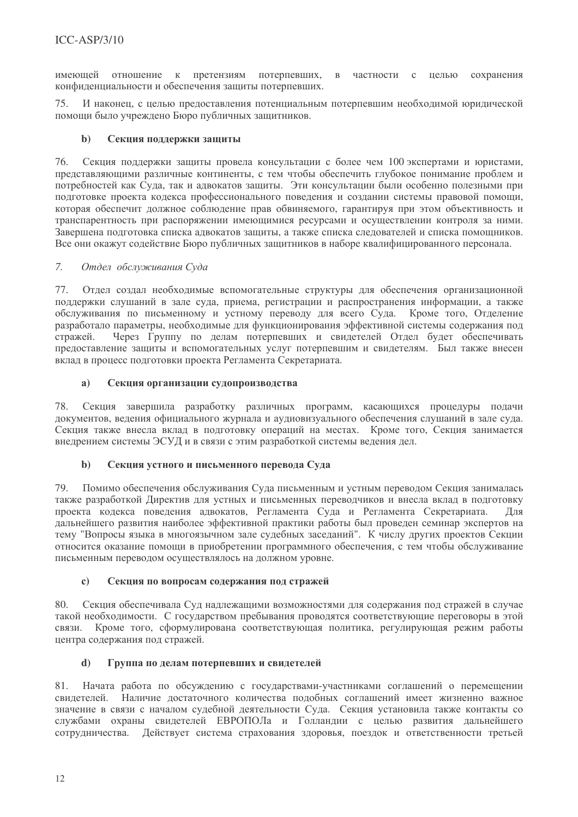имеющей отношение к претензиям потерпевших,  $\overline{B}$ частности с целью сохранения конфиленциальности и обеспечения защиты потерпевших.

75 И наконец, с целью предоставления потенциальным потерпевшим необходимой юридической помоши было учреждено Бюро публичных зашитников.

#### $\mathbf{b}$ Секция поддержки защиты

Секция поддержки защиты провела консультации с более чем 100 экспертами и юристами, 76. представляющими различные континенты, с тем чтобы обеспечить глубокое понимание проблем и потребностей как Суда, так и адвокатов защиты. Эти консультации были особенно полезными при подготовке проекта кодекса профессионального поведения и создании системы правовой помощи, которая обеспечит должное соблюдение прав обвиняемого, гарантируя при этом объективность и транспарентность при распоряжении имеющимися ресурсами и осуществлении контроля за ними. Завершена полготовка списка алвокатов зашиты, а также списка слелователей и списка помошников. Все они окажут солействие Бюро публичных зашитников в наборе квалифицированного персонала.

#### $\overline{7}$ . Отдел обслуживания Суда

77. Отдел создал необходимые вспомогательные структуры для обеспечения организационной поддержки слушаний в зале суда, приема, регистрации и распространения информации, а также обслуживания по письменному и устному переводу для всего Суда. Кроме того, Отделение разработало параметры, необходимые для функционирования эффективной системы содержания под Через Группу по делам потерпевших и свидетелей Отдел будет обеспечивать стражей. предоставление защиты и вспомогательных услуг потерпевшим и свидетелям. Был также внесен вклад в процесс подготовки проекта Регламента Секретариата.

#### Секция организации судопроизводства  $a)$

78. Секция завершила разработку различных программ, касающихся процедуры подачи документов, ведения официального журнала и аудиовизуального обеспечения слушаний в зале суда. Секция также внесла вклад в подготовку операций на местах. Кроме того, Секция занимается внедрением системы ЭСУД и в связи с этим разработкой системы ведения дел.

#### $\mathbf{b}$ Секция устного и письменного перевода Суда

Помимо обеспечения обслуживания Суда письменным и устным переводом Секция занималась 79 также разработкой Директив для устных и письменных переводчиков и внесла вклад в подготовку проекта кодекса поведения адвокатов, Регламента Суда и Регламента Секретариата. Лля дальнейшего развития наиболее эффективной практики работы был проведен семинар экспертов на тему "Вопросы языка в многоязычном зале судебных заседаний". К числу других проектов Секции относится оказание помощи в приобретении программного обеспечения, с тем чтобы обслуживание письменным переводом осуществлялось на должном уровне.

#### $\mathbf{c}$ Секция по вопросам содержания под стражей

Секция обеспечивала Суд надлежащими возможностями для содержания под стражей в случае 80 такой необходимости. С государством пребывания проводятся соответствующие переговоры в этой Кроме того, сформулирована соответствующая политика, регулирующая режим работы связи. центра содержания под стражей.

#### Группа по делам потерпевших и свидетелей d)

81. Начата работа по обсуждению с государствами-участниками соглашений о перемещении свидетелей. Наличие достаточного количества подобных соглашений имеет жизненно важное значение в связи с началом судебной деятельности Суда. Секция установила также контакты со службами охраны свидетелей ЕВРОПОЛа и Голландии с целью развития дальнейшего сотрудничества. Действует система страхования здоровья, поездок и ответственности третьей